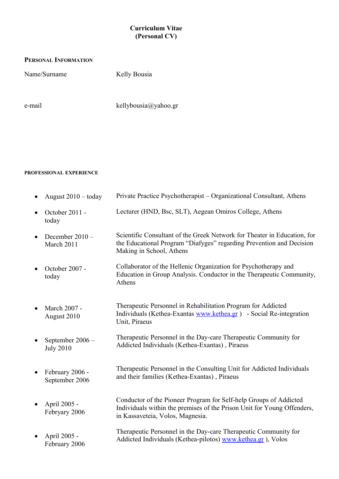### **Curriculum Vitae (Personal CV)**

#### **PERSONAL INFORMATION**

Name/Surname Kelly Bousia

e-mail kellybousia@yahoo.gr

#### **PROFESSIONAL EXPERIENCE**

| August $2010 -$ today                | Private Practice Psychotherapist – Organizational Consultant, Athens                                                                                                             |
|--------------------------------------|----------------------------------------------------------------------------------------------------------------------------------------------------------------------------------|
| October 2011 -<br>today              | Lecturer (HND, Bsc, SLT), Aegean Omiros College, Athens                                                                                                                          |
| December 2010 -<br>March 2011        | Scientific Consultant of the Greek Network for Theater in Education, for<br>the Educational Program "Diafyges" regarding Prevention and Decision<br>Making in School, Athens     |
| October 2007 -<br>today              | Collaborator of the Hellenic Organization for Psychotherapy and<br>Education in Group Analysis. Conductor in the Therapeutic Community,<br>Athens                                |
| March 2007 -<br>August 2010          | Therapeutic Personnel in Rehabilitation Program for Addicted<br>Individuals (Kethea-Exantas www.kethea.gr) - Social Re-integration<br>Unit, Piraeus                              |
| September 2006 -<br><b>July 2010</b> | Therapeutic Personnel in the Day-care Therapeutic Community for<br>Addicted Individuals (Kethea-Exantas), Piraeus                                                                |
| February 2006 -<br>September 2006    | Therapeutic Personnel in the Consulting Unit for Addicted Individuals<br>and their families (Kethea-Exantas), Piraeus                                                            |
| April 2005 -<br>Febryary 2006        | Conductor of the Pioneer Program for Self-help Groups of Addicted<br>Individuals within the premises of the Prison Unit for Young Offenders,<br>in Kassaveteia, Volos, Magnesia. |
| April 2005 -<br>February 2006        | Therapeutic Personnel in the Day-care Therapeutic Community for<br>Addicted Individuals (Kethea-pilotos) www.kethea.gr), Volos                                                   |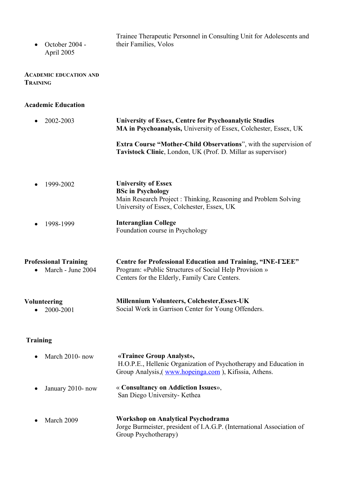| • October $2004 -$<br>April 2005 | Trainee Therapeutic Personnel in Consulting Unit for Adolescents and<br>their Families, Volos |
|----------------------------------|-----------------------------------------------------------------------------------------------|
|                                  |                                                                                               |

#### **ACADEMIC EDUCATION AND TRAINING**

### **Academic Education**

| 2002-2003                                         | <b>University of Essex, Centre for Psychoanalytic Studies</b><br>MA in Psychoanalysis, University of Essex, Colchester, Essex, UK                                      |  |
|---------------------------------------------------|------------------------------------------------------------------------------------------------------------------------------------------------------------------------|--|
|                                                   | <b>Extra Course "Mother-Child Observations"</b> , with the supervision of<br>Tavistock Clinic, London, UK (Prof. D. Millar as supervisor)                              |  |
| 1999-2002                                         | <b>University of Essex</b><br><b>BSc in Psychology</b><br>Main Research Project: Thinking, Reasoning and Problem Solving<br>University of Essex, Colchester, Essex, UK |  |
| 1998-1999                                         | <b>Interanglian College</b><br>Foundation course in Psychology                                                                                                         |  |
| <b>Professional Training</b><br>March - June 2004 | Centre for Professional Education and Training, "INE-TZEE"<br>Program: «Public Structures of Social Help Provision »<br>Centers for the Elderly, Family Care Centers.  |  |
| <b>Volunteering</b><br>2000-2001                  | <b>Millennium Volunteers, Colchester, Essex-UK</b><br>Social Work in Garrison Center for Young Offenders.                                                              |  |

# **Training**

| $\bullet$ | March $2010$ - now | «Trainee Group Analyst»,<br>H.O.P.E., Hellenic Organization of Psychotherapy and Education in<br>Group Analysis, (www.hopeinga.com), Kifissia, Athens. |
|-----------|--------------------|--------------------------------------------------------------------------------------------------------------------------------------------------------|
| $\bullet$ | January 2010- now  | « Consultancy on Addiction Issues»,<br>San Diego University- Kethea                                                                                    |
|           | March 2009         | Workshop on Analytical Psychodrama<br>Jorge Burmeister, president of I.A.G.P. (International Association of                                            |

Group Psychotherapy)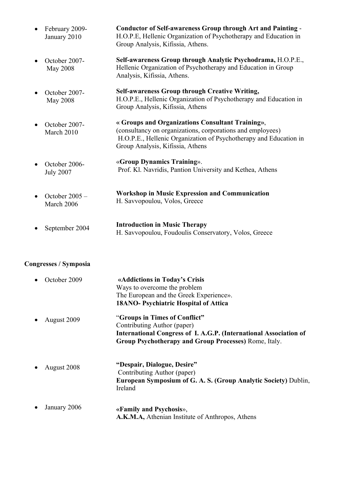| $\bullet$ | February 2009-<br>January 2010    | Conductor of Self-awareness Group through Art and Painting -<br>H.O.P.E, Hellenic Organization of Psychotherapy and Education in<br>Group Analysis, Kifissia, Athens.                                                   |
|-----------|-----------------------------------|-------------------------------------------------------------------------------------------------------------------------------------------------------------------------------------------------------------------------|
|           | October 2007-<br><b>May 2008</b>  | Self-awareness Group through Analytic Psychodrama, H.O.P.E.,<br>Hellenic Organization of Psychotherapy and Education in Group<br>Analysis, Kifissia, Athens.                                                            |
|           | October 2007-<br>May 2008         | <b>Self-awareness Group through Creative Writing,</b><br>H.O.P.E., Hellenic Organization of Psychotherapy and Education in<br>Group Analysis, Kifissia, Athens                                                          |
|           | October 2007-<br>March 2010       | « Groups and Organizations Consultant Training»,<br>(consultancy on organizations, corporations and employees)<br>H.O.P.E., Hellenic Organization of Psychotherapy and Education in<br>Group Analysis, Kifissia, Athens |
|           | October 2006-<br><b>July 2007</b> | «Group Dynamics Training».<br>Prof. Kl. Navridis, Pantion University and Kethea, Athens                                                                                                                                 |
|           | October $2005 -$<br>March 2006    | <b>Workshop in Music Expression and Communication</b><br>H. Savvopoulou, Volos, Greece                                                                                                                                  |
|           | September 2004                    | <b>Introduction in Music Therapy</b><br>H. Savvopoulou, Foudoulis Conservatory, Volos, Greece                                                                                                                           |

# **Congresses / Symposia**

| October 2009 | «Addictions in Today's Crisis                                     |
|--------------|-------------------------------------------------------------------|
|              | Ways to overcome the problem                                      |
|              | The European and the Greek Experience».                           |
|              | <b>18ANO- Psychiatric Hospital of Attica</b>                      |
| August 2009  | "Groups in Times of Conflict"                                     |
|              | Contributing Author (paper)                                       |
|              | International Congress of I. A.G.P. (International Association of |
|              | Group Psychotherapy and Group Processes) Rome, Italy.             |
| August 2008  | "Despair, Dialogue, Desire"<br>Contributing Author (paper)        |
|              | European Symposium of G. A. S. (Group Analytic Society) Dublin,   |
|              | Ireland                                                           |
| January 2006 | «Family and Psychosis»,                                           |
|              | A.K.M.A, Athenian Institute of Anthropos, Athens                  |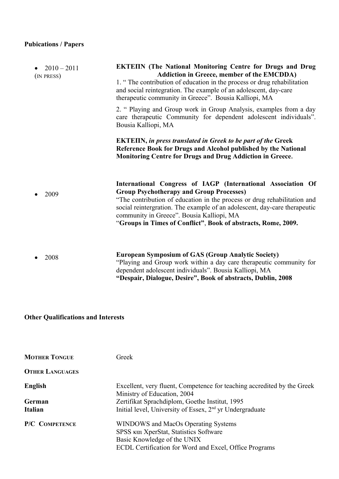# **Pubications / Papers**

| $2010 - 2011$<br>(IN PRESS) | <b>EKTEIIN</b> (The National Monitoring Centre for Drugs and Drug<br><b>Addiction in Greece, member of the EMCDDA)</b><br>1. "The contribution of education in the process or drug rehabilitation<br>and social reintegration. The example of an adolescent, day-care<br>therapeutic community in Greece". Bousia Kalliopi, MA                                                         |
|-----------------------------|----------------------------------------------------------------------------------------------------------------------------------------------------------------------------------------------------------------------------------------------------------------------------------------------------------------------------------------------------------------------------------------|
|                             | 2. " Playing and Group work in Group Analysis, examples from a day<br>care therapeutic Community for dependent adolescent individuals".<br>Bousia Kalliopi, MA                                                                                                                                                                                                                         |
|                             | <b>EKTEIN, in press translated in Greek to be part of the Greek</b><br>Reference Book for Drugs and Alcohol published by the National<br>Monitoring Centre for Drugs and Drug Addiction in Greece.                                                                                                                                                                                     |
| 2009                        | International Congress of IAGP (International Association Of<br><b>Group Psychotherapy and Group Processes)</b><br>"The contribution of education in the process or drug rehabilitation and<br>social reintergration. The example of an adolescent, day-care therapeutic<br>community in Greece". Bousia Kalliopi, MA<br>"Groups in Times of Conflict", Book of abstracts, Rome, 2009. |
| 2008                        | <b>European Symposium of GAS (Group Analytic Society)</b><br>"Playing and Group work within a day care therapeutic community for<br>dependent adolescent individuals". Bousia Kalliopi, MA                                                                                                                                                                                             |

### **"Despair, Dialogue, Desire", Book of abstracts, Dublin, 2008**

# **Other Qualifications and Interests**

| <b>MOTHER TONGUE</b>   | Greek                                                                                                                                                                  |
|------------------------|------------------------------------------------------------------------------------------------------------------------------------------------------------------------|
| <b>OTHER LANGUAGES</b> |                                                                                                                                                                        |
| English                | Excellent, very fluent, Competence for teaching accredited by the Greek<br>Ministry of Education, 2004                                                                 |
| German                 | Zertifikat Sprachdiplom, Goethe Institut, 1995                                                                                                                         |
| <b>Italian</b>         | Initial level, University of Essex, 2 <sup>nd</sup> yr Undergraduate                                                                                                   |
| <b>P/C COMPETENCE</b>  | WINDOWS and MacOs Operating Systems<br>SPSS Kat XperStat, Statistics Software<br>Basic Knowledge of the UNIX<br>ECDL Certification for Word and Excel, Office Programs |